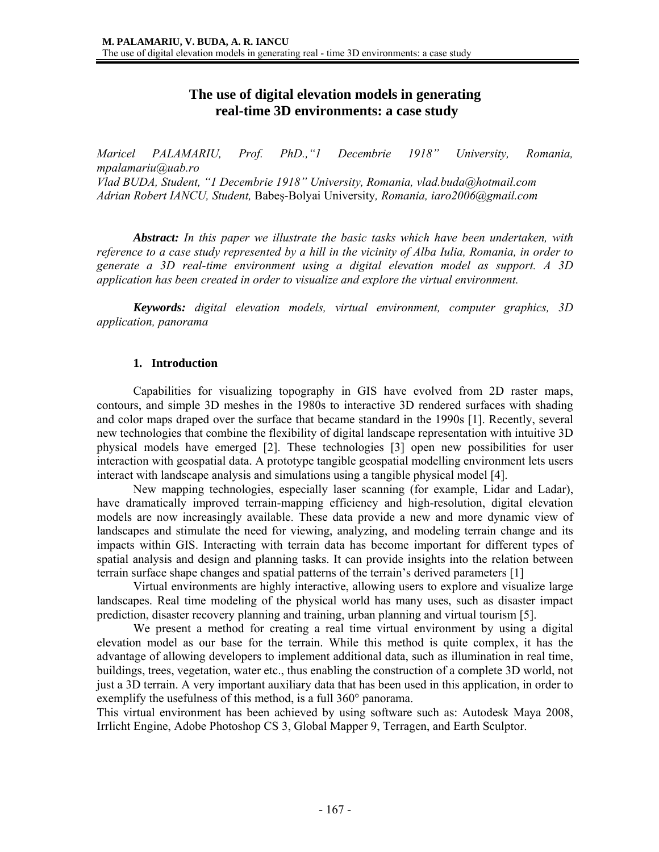# **The use of digital elevation models in generating real-time 3D environments: a case study**

*Maricel PALAMARIU, Prof. PhD.,"1 Decembrie 1918" University, Romania, mpalamariu@uab.ro Vlad BUDA, Student, "1 Decembrie 1918" University, Romania, vlad.buda@hotmail.com Adrian Robert IANCU, Student,* Babeş-Bolyai University*, Romania, iaro2006@gmail.com* 

*Abstract: In this paper we illustrate the basic tasks which have been undertaken, with reference to a case study represented by a hill in the vicinity of Alba Iulia, Romania, in order to generate a 3D real-time environment using a digital elevation model as support. A 3D application has been created in order to visualize and explore the virtual environment.* 

 *Keywords: digital elevation models, virtual environment, computer graphics, 3D application, panorama* 

## **1. Introduction**

 Capabilities for visualizing topography in GIS have evolved from 2D raster maps, contours, and simple 3D meshes in the 1980s to interactive 3D rendered surfaces with shading and color maps draped over the surface that became standard in the 1990s [1]. Recently, several new technologies that combine the flexibility of digital landscape representation with intuitive 3D physical models have emerged [2]. These technologies [3] open new possibilities for user interaction with geospatial data. A prototype tangible geospatial modelling environment lets users interact with landscape analysis and simulations using a tangible physical model [4].

 New mapping technologies, especially laser scanning (for example, Lidar and Ladar), have dramatically improved terrain-mapping efficiency and high-resolution, digital elevation models are now increasingly available. These data provide a new and more dynamic view of landscapes and stimulate the need for viewing, analyzing, and modeling terrain change and its impacts within GIS. Interacting with terrain data has become important for different types of spatial analysis and design and planning tasks. It can provide insights into the relation between terrain surface shape changes and spatial patterns of the terrain's derived parameters [1]

 Virtual environments are highly interactive, allowing users to explore and visualize large landscapes. Real time modeling of the physical world has many uses, such as disaster impact prediction, disaster recovery planning and training, urban planning and virtual tourism [5].

 We present a method for creating a real time virtual environment by using a digital elevation model as our base for the terrain. While this method is quite complex, it has the advantage of allowing developers to implement additional data, such as illumination in real time, buildings, trees, vegetation, water etc., thus enabling the construction of a complete 3D world, not just a 3D terrain. A very important auxiliary data that has been used in this application, in order to exemplify the usefulness of this method, is a full 360° panorama.

This virtual environment has been achieved by using software such as: Autodesk Maya 2008, Irrlicht Engine, Adobe Photoshop CS 3, Global Mapper 9, Terragen, and Earth Sculptor.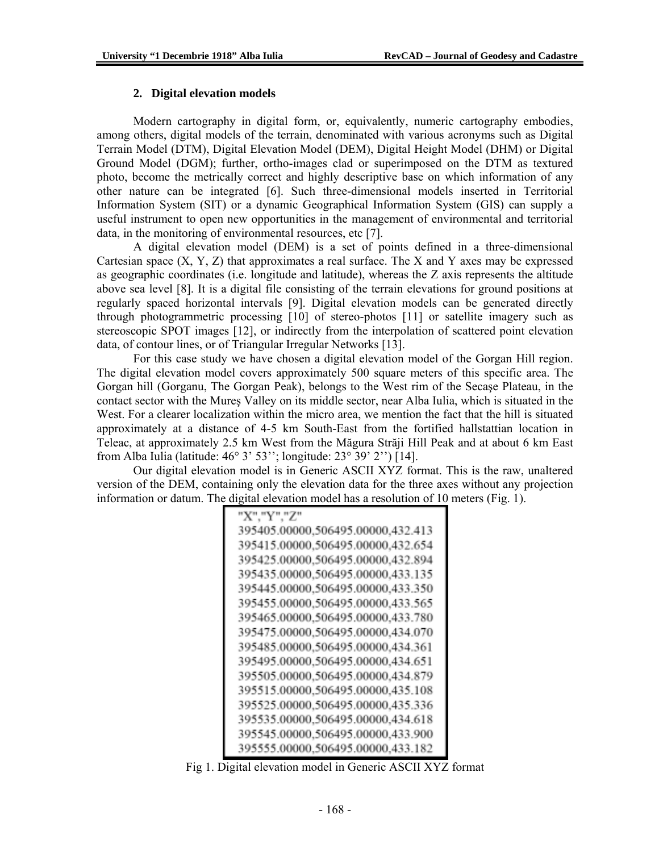#### **2. Digital elevation models**

 Modern cartography in digital form, or, equivalently, numeric cartography embodies, among others, digital models of the terrain, denominated with various acronyms such as Digital Terrain Model (DTM), Digital Elevation Model (DEM), Digital Height Model (DHM) or Digital Ground Model (DGM); further, ortho-images clad or superimposed on the DTM as textured photo, become the metrically correct and highly descriptive base on which information of any other nature can be integrated [6]. Such three-dimensional models inserted in Territorial Information System (SIT) or a dynamic Geographical Information System (GIS) can supply a useful instrument to open new opportunities in the management of environmental and territorial data, in the monitoring of environmental resources, etc [7].

 A digital elevation model (DEM) is a set of points defined in a three-dimensional Cartesian space  $(X, Y, Z)$  that approximates a real surface. The X and Y axes may be expressed as geographic coordinates (i.e. longitude and latitude), whereas the Z axis represents the altitude above sea level [8]. It is a digital file consisting of the terrain elevations for ground positions at regularly spaced horizontal intervals [9]. Digital elevation models can be generated directly through photogrammetric processing [10] of stereo-photos [11] or satellite imagery such as stereoscopic SPOT images [12], or indirectly from the interpolation of scattered point elevation data, of contour lines, or of Triangular Irregular Networks [13].

 For this case study we have chosen a digital elevation model of the Gorgan Hill region. The digital elevation model covers approximately 500 square meters of this specific area. The Gorgan hill (Gorganu, The Gorgan Peak), belongs to the West rim of the Secaşe Plateau, in the contact sector with the Mureş Valley on its middle sector, near Alba Iulia, which is situated in the West. For a clearer localization within the micro area, we mention the fact that the hill is situated approximately at a distance of 4-5 km South-East from the fortified hallstattian location in Teleac, at approximately 2.5 km West from the Măgura Străji Hill Peak and at about 6 km East from Alba Iulia (latitude: 46° 3' 53''; longitude: 23° 39' 2'') [14].

 Our digital elevation model is in Generic ASCII XYZ format. This is the raw, unaltered version of the DEM, containing only the elevation data for the three axes without any projection information or datum. The digital elevation model has a resolution of 10 meters (Fig. 1).

| "X","Y","Z"                       |  |
|-----------------------------------|--|
| 395405.00000,506495.00000,432.413 |  |
| 395415.00000,506495.00000,432.654 |  |
| 395425.00000,506495.00000,432.894 |  |
| 395435.00000,506495.00000,433.135 |  |
| 395445.00000,506495.00000,433.350 |  |
| 395455.00000,506495.00000,433.565 |  |
| 395465.00000,506495.00000,433.780 |  |
| 395475.00000,506495.00000,434.070 |  |
| 395485.00000,506495.00000,434.361 |  |
| 395495.00000,506495.00000,434.651 |  |
| 395505.00000,506495.00000,434.879 |  |
| 395515.00000,506495.00000,435.108 |  |
| 395525.00000,506495.00000,435.336 |  |
| 395535.00000,506495.00000,434.618 |  |
| 395545.00000,506495.00000,433.900 |  |
| 395555.00000,506495.00000,433.182 |  |

Fig 1. Digital elevation model in Generic ASCII XYZ format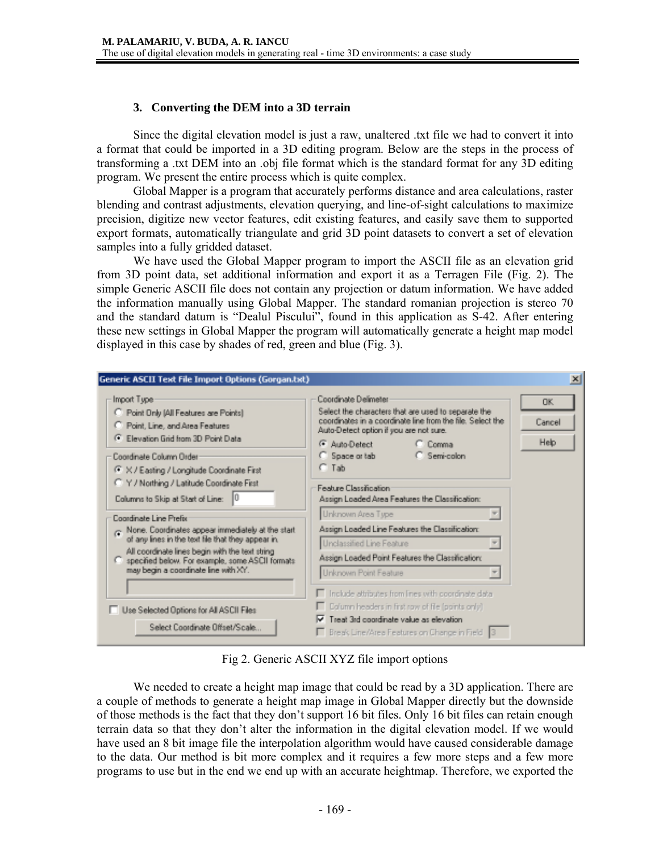## **3. Converting the DEM into a 3D terrain**

 Since the digital elevation model is just a raw, unaltered .txt file we had to convert it into a format that could be imported in a 3D editing program. Below are the steps in the process of transforming a .txt DEM into an .obj file format which is the standard format for any 3D editing program. We present the entire process which is quite complex.

 Global Mapper is a program that accurately performs distance and area calculations, raster blending and contrast adjustments, elevation querying, and line-of-sight calculations to maximize precision, digitize new vector features, edit existing features, and easily save them to supported export formats, automatically triangulate and grid 3D point datasets to convert a set of elevation samples into a fully gridded dataset.

 We have used the Global Mapper program to import the ASCII file as an elevation grid from 3D point data, set additional information and export it as a Terragen File (Fig. 2). The simple Generic ASCII file does not contain any projection or datum information. We have added the information manually using Global Mapper. The standard romanian projection is stereo 70 and the standard datum is "Dealul Piscului", found in this application as S-42. After entering these new settings in Global Mapper the program will automatically generate a height map model displayed in this case by shades of red, green and blue (Fig. 3).



Fig 2. Generic ASCII XYZ file import options

We needed to create a height map image that could be read by a 3D application. There are a couple of methods to generate a height map image in Global Mapper directly but the downside of those methods is the fact that they don't support 16 bit files. Only 16 bit files can retain enough terrain data so that they don't alter the information in the digital elevation model. If we would have used an 8 bit image file the interpolation algorithm would have caused considerable damage to the data. Our method is bit more complex and it requires a few more steps and a few more programs to use but in the end we end up with an accurate heightmap. Therefore, we exported the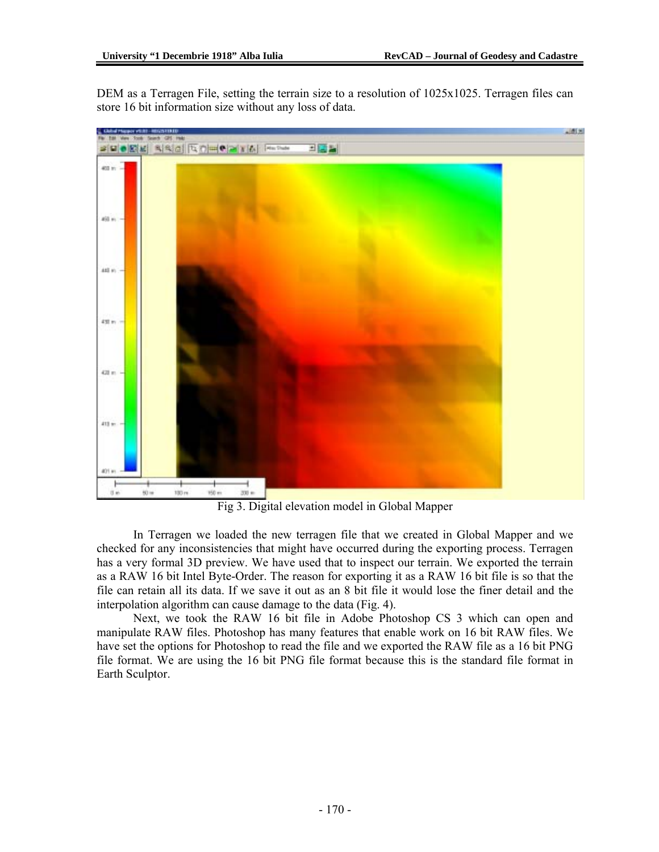DEM as a Terragen File, setting the terrain size to a resolution of 1025x1025. Terragen files can store 16 bit information size without any loss of data.



Fig 3. Digital elevation model in Global Mapper

 In Terragen we loaded the new terragen file that we created in Global Mapper and we checked for any inconsistencies that might have occurred during the exporting process. Terragen has a very formal 3D preview. We have used that to inspect our terrain. We exported the terrain as a RAW 16 bit Intel Byte-Order. The reason for exporting it as a RAW 16 bit file is so that the file can retain all its data. If we save it out as an 8 bit file it would lose the finer detail and the interpolation algorithm can cause damage to the data (Fig. 4).

 Next, we took the RAW 16 bit file in Adobe Photoshop CS 3 which can open and manipulate RAW files. Photoshop has many features that enable work on 16 bit RAW files. We have set the options for Photoshop to read the file and we exported the RAW file as a 16 bit PNG file format. We are using the 16 bit PNG file format because this is the standard file format in Earth Sculptor.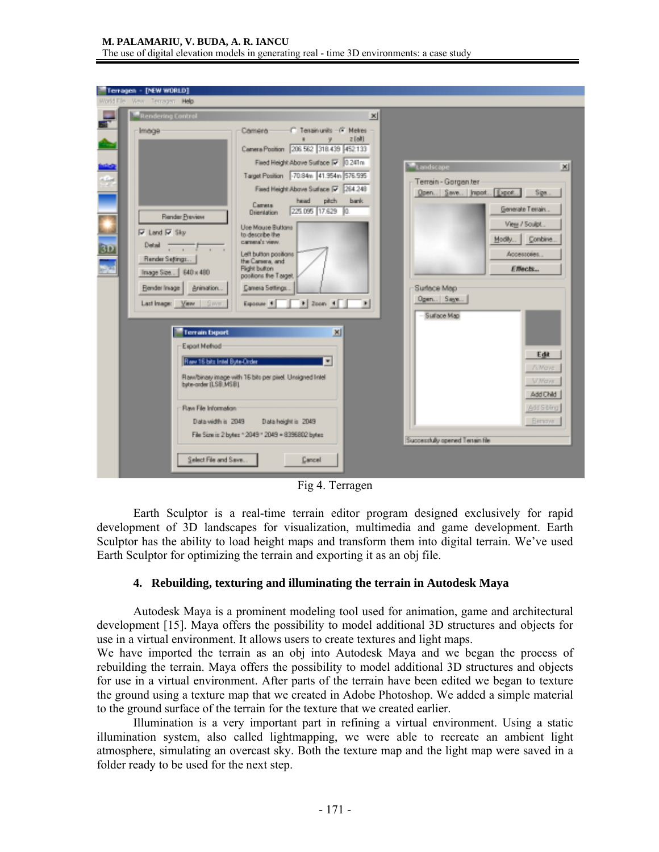#### **M. PALAMARIU, V. BUDA, A. R. IANCU**  The use of digital elevation models in generating real - time 3D environments: a case study

| Terragen - [NEW WORLD]<br>World File Wew Terragen Help                                                                                                                                             |                                                                                                                                                                                                                                                                                                                                                                                                                                                                                                                                    |                                                                                                                                                                                                                              |
|----------------------------------------------------------------------------------------------------------------------------------------------------------------------------------------------------|------------------------------------------------------------------------------------------------------------------------------------------------------------------------------------------------------------------------------------------------------------------------------------------------------------------------------------------------------------------------------------------------------------------------------------------------------------------------------------------------------------------------------------|------------------------------------------------------------------------------------------------------------------------------------------------------------------------------------------------------------------------------|
| <b>Rendering Control</b>                                                                                                                                                                           | $\mathbf{x}$                                                                                                                                                                                                                                                                                                                                                                                                                                                                                                                       |                                                                                                                                                                                                                              |
| Image<br>ļ<br>Render Breview<br><b>⊌</b> Land <b>⊌</b> Sky<br>Detail $\overline{\phantom{a}}$<br>Render Settings<br>Inage Size   640 x 480<br>Bender Inage   Animation<br>Last Image: View   Since | C Tessinunits - C Metres<br>Camera:<br>$z$ [all]<br>Canera Position 206 562 318 439 452 133<br>Fired Height Above Surface [7 0 241n<br>Target Position 70.84m 41.954m 576.595<br>Fixed Height Above Surface [7 264.248]<br>pitch<br>bark.<br>head<br>Carveta<br>225.095 17.629 0.<br><b>Dijentation</b><br>Use Mouse Buttons<br>to describe the<br>CATHER'S YEAH.<br>Left button positions<br>the Careera, and<br>Flight button<br>positions the Target.<br>Canera Settings.<br>$\Box$ Zoon $\Box$<br>$\blacksquare$<br>Exposure 1 | Landscape<br>$\times$<br>Terrain - Gorgan ter<br>Open., Save., Import., Export., Sige.<br>Generate Tenain<br>View / Soulpt<br>Combine.<br>Modily<br>Accessories<br><b>Effects</b><br>Surface Map<br>Ogen Says<br>Surface Map |
| <b>Terrain Export</b><br>Export Method<br>Raw 16 bits Intel Byte-Order<br>byte-order (LSB,MSB).<br>Flaw File Information<br>Data vidth is 2049<br>Select File and Save.                            | 凶<br>Raw/binary image with 16 bits per pixel. Unsigned Intel<br>Data height is 2049<br>File Size is 2 bytes * 2049 * 2049 = 8396802 bytes<br>Cancel                                                                                                                                                                                                                                                                                                                                                                                | Edit<br><b>Ti Maye</b><br><b>V Maye</b><br>Add Child<br>Add Sibling<br><b>Bernover</b><br>Successfully opened Terrain file                                                                                                   |

Fig 4. Terragen

 Earth Sculptor is a real-time terrain editor program designed exclusively for rapid development of 3D landscapes for visualization, multimedia and game development. Earth Sculptor has the ability to load height maps and transform them into digital terrain. We've used Earth Sculptor for optimizing the terrain and exporting it as an obj file.

### **4. Rebuilding, texturing and illuminating the terrain in Autodesk Maya**

 Autodesk Maya is a prominent modeling tool used for animation, game and architectural development [15]. Maya offers the possibility to model additional 3D structures and objects for use in a virtual environment. It allows users to create textures and light maps.

We have imported the terrain as an obj into Autodesk Maya and we began the process of rebuilding the terrain. Maya offers the possibility to model additional 3D structures and objects for use in a virtual environment. After parts of the terrain have been edited we began to texture the ground using a texture map that we created in Adobe Photoshop. We added a simple material to the ground surface of the terrain for the texture that we created earlier.

 Illumination is a very important part in refining a virtual environment. Using a static illumination system, also called lightmapping, we were able to recreate an ambient light atmosphere, simulating an overcast sky. Both the texture map and the light map were saved in a folder ready to be used for the next step.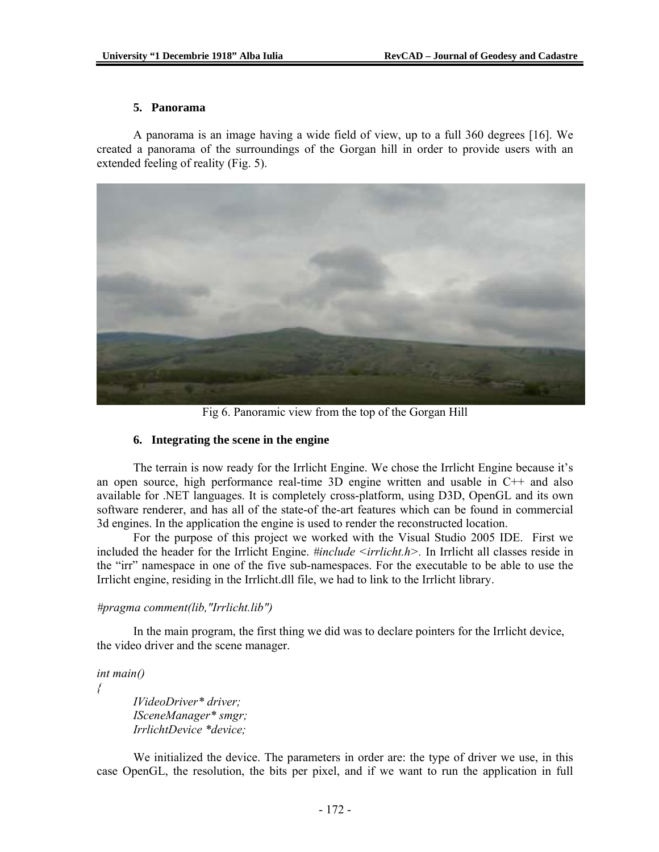#### **5. Panorama**

 A panorama is an image having a wide field of view, up to a full 360 degrees [16]. We created a panorama of the surroundings of the Gorgan hill in order to provide users with an extended feeling of reality (Fig. 5).



Fig 6. Panoramic view from the top of the Gorgan Hill

### **6. Integrating the scene in the engine**

 The terrain is now ready for the Irrlicht Engine. We chose the Irrlicht Engine because it's an open source, high performance real-time 3D engine written and usable in C++ and also available for .NET languages. It is completely cross-platform, using D3D, OpenGL and its own software renderer, and has all of the state-of the-art features which can be found in commercial 3d engines. In the application the engine is used to render the reconstructed location.

 For the purpose of this project we worked with the Visual Studio 2005 IDE. First we included the header for the Irrlicht Engine. *#include <irrlicht.h>.* In Irrlicht all classes reside in the "irr" namespace in one of the five sub-namespaces. For the executable to be able to use the Irrlicht engine, residing in the Irrlicht.dll file, we had to link to the Irrlicht library.

### *#pragma comment(lib,"Irrlicht.lib")*

 In the main program, the first thing we did was to declare pointers for the Irrlicht device, the video driver and the scene manager.

### *int main()*

*{* 

 *IVideoDriver\* driver; ISceneManager\* smgr; IrrlichtDevice \*device;* 

 We initialized the device. The parameters in order are: the type of driver we use, in this case OpenGL, the resolution, the bits per pixel, and if we want to run the application in full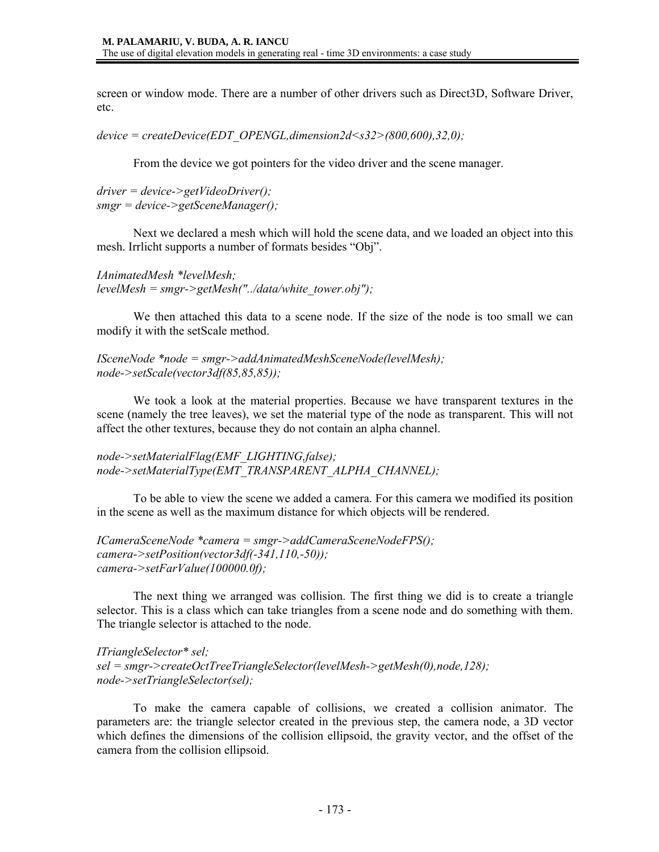screen or window mode. There are a number of other drivers such as Direct3D, Software Driver, etc.

*device = createDevice(EDT\_OPENGL,dimension2d<s32>(800,600),32,0);* 

From the device we got pointers for the video driver and the scene manager.

*driver = device->getVideoDriver(); smgr = device->getSceneManager();* 

 Next we declared a mesh which will hold the scene data, and we loaded an object into this mesh. Irrlicht supports a number of formats besides "Obj".

*IAnimatedMesh \*levelMesh; levelMesh = smgr->getMesh("../data/white\_tower.obj");* 

 We then attached this data to a scene node. If the size of the node is too small we can modify it with the setScale method.

*ISceneNode \*node = smgr->addAnimatedMeshSceneNode(levelMesh); node->setScale(vector3df(85,85,85));* 

 We took a look at the material properties. Because we have transparent textures in the scene (namely the tree leaves), we set the material type of the node as transparent. This will not affect the other textures, because they do not contain an alpha channel.

*node->setMaterialFlag(EMF\_LIGHTING,false); node->setMaterialType(EMT\_TRANSPARENT\_ALPHA\_CHANNEL);* 

 To be able to view the scene we added a camera. For this camera we modified its position in the scene as well as the maximum distance for which objects will be rendered.

*ICameraSceneNode \*camera = smgr->addCameraSceneNodeFPS(); camera->setPosition(vector3df(-341,110,-50)); camera->setFarValue(100000.0f);* 

 The next thing we arranged was collision. The first thing we did is to create a triangle selector. This is a class which can take triangles from a scene node and do something with them. The triangle selector is attached to the node.

*ITriangleSelector\* sel; sel = smgr->createOctTreeTriangleSelector(levelMesh->getMesh(0),node,128); node->setTriangleSelector(sel);* 

 To make the camera capable of collisions, we created a collision animator. The parameters are: the triangle selector created in the previous step, the camera node, a 3D vector which defines the dimensions of the collision ellipsoid, the gravity vector, and the offset of the camera from the collision ellipsoid.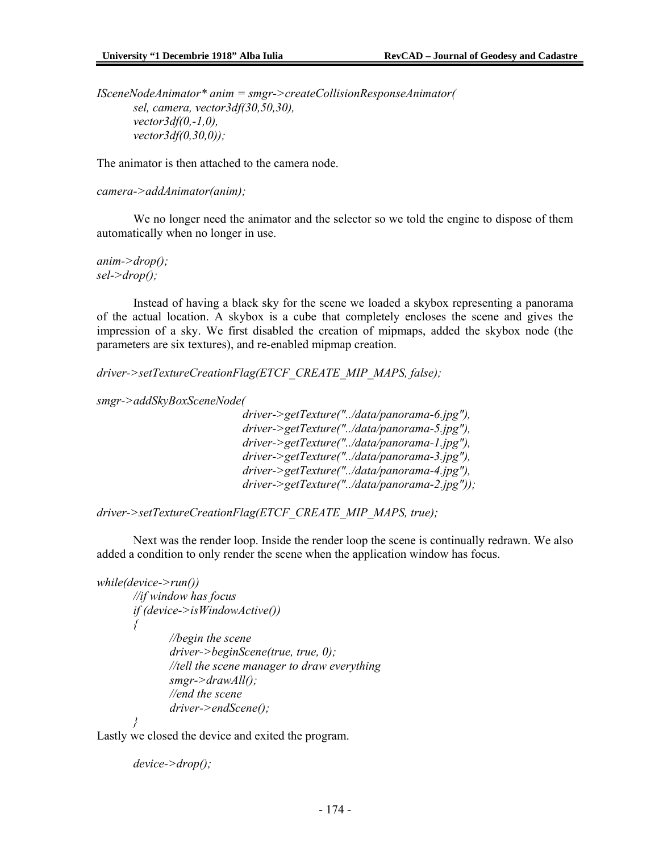*ISceneNodeAnimator\* anim = smgr->createCollisionResponseAnimator( sel, camera, vector3df(30,50,30), vector3df(0,-1,0), vector3df(0,30,0));* 

The animator is then attached to the camera node.

```
camera->addAnimator(anim);
```
 We no longer need the animator and the selector so we told the engine to dispose of them automatically when no longer in use.

*anim->drop(); sel->drop();* 

 Instead of having a black sky for the scene we loaded a skybox representing a panorama of the actual location. A skybox is a cube that completely encloses the scene and gives the impression of a sky. We first disabled the creation of mipmaps, added the skybox node (the parameters are six textures), and re-enabled mipmap creation.

*driver->setTextureCreationFlag(ETCF\_CREATE\_MIP\_MAPS, false);* 

*smgr->addSkyBoxSceneNode(* 

 *driver->getTexture("../data/panorama-6.jpg"), driver->getTexture("../data/panorama-5.jpg"), driver->getTexture("../data/panorama-1.jpg"), driver->getTexture("../data/panorama-3.jpg"), driver->getTexture("../data/panorama-4.jpg"), driver->getTexture("../data/panorama-2.jpg"));* 

*driver->setTextureCreationFlag(ETCF\_CREATE\_MIP\_MAPS, true);* 

 Next was the render loop. Inside the render loop the scene is continually redrawn. We also added a condition to only render the scene when the application window has focus.

```
while(device->run())
```

```
 //if window has focus 
       if (device->isWindowActive()) 
{ 
               //begin the scene 
               driver->beginScene(true, true, 0); 
               //tell the scene manager to draw everything 
               smgr->drawAll(); 
               //end the scene 
               driver->endScene();
```
 *}* 

Lastly we closed the device and exited the program.

```
 device->drop();
```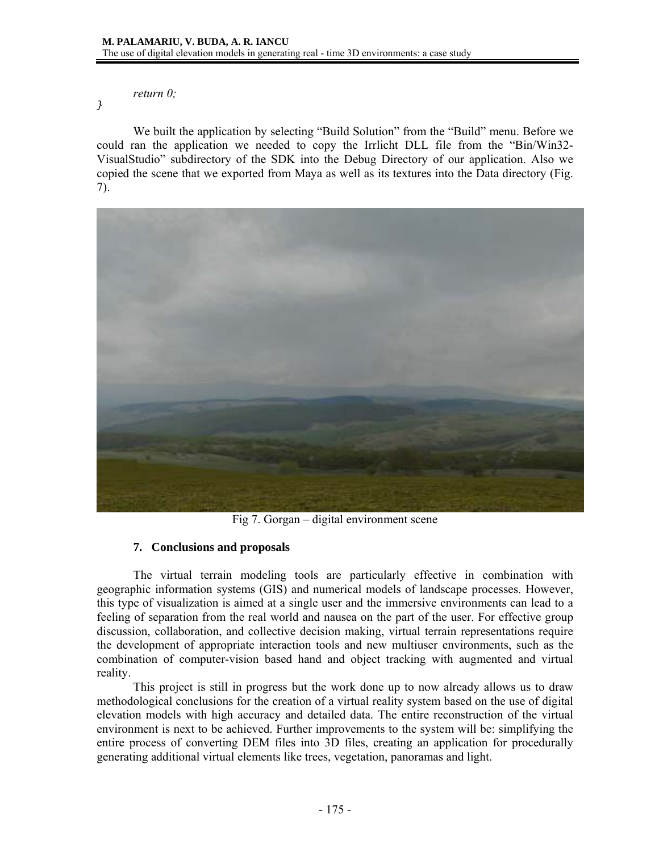### *return 0;*

}

 We built the application by selecting "Build Solution" from the "Build" menu. Before we could ran the application we needed to copy the Irrlicht DLL file from the "Bin/Win32- VisualStudio" subdirectory of the SDK into the Debug Directory of our application. Also we copied the scene that we exported from Maya as well as its textures into the Data directory (Fig. 7).



Fig 7. Gorgan – digital environment scene

# **7. Conclusions and proposals**

 The virtual terrain modeling tools are particularly effective in combination with geographic information systems (GIS) and numerical models of landscape processes. However, this type of visualization is aimed at a single user and the immersive environments can lead to a feeling of separation from the real world and nausea on the part of the user. For effective group discussion, collaboration, and collective decision making, virtual terrain representations require the development of appropriate interaction tools and new multiuser environments, such as the combination of computer-vision based hand and object tracking with augmented and virtual reality.

 This project is still in progress but the work done up to now already allows us to draw methodological conclusions for the creation of a virtual reality system based on the use of digital elevation models with high accuracy and detailed data. The entire reconstruction of the virtual environment is next to be achieved. Further improvements to the system will be: simplifying the entire process of converting DEM files into 3D files, creating an application for procedurally generating additional virtual elements like trees, vegetation, panoramas and light.